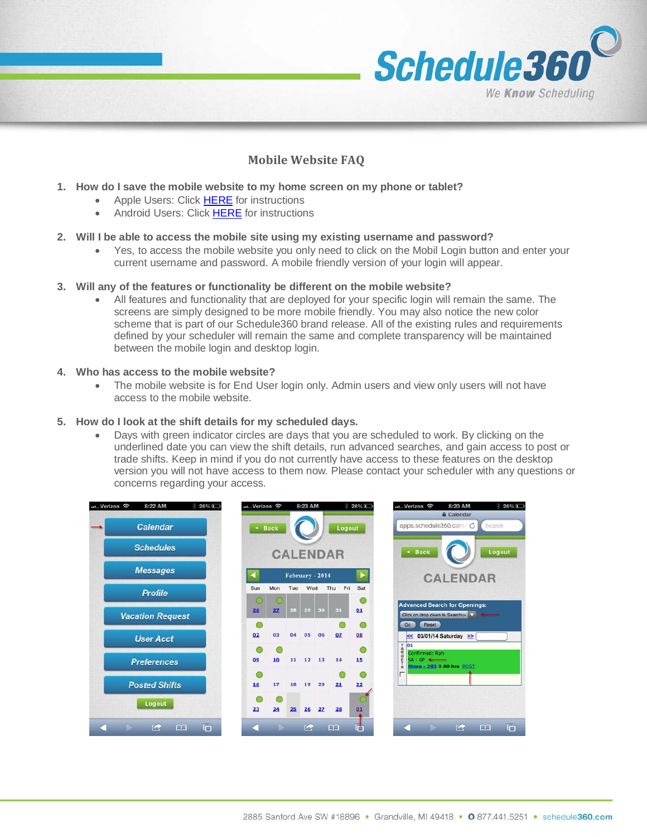

# **Mobile Website FAQ**

- **1. How do I save the mobile website to my home screen on my phone or tablet?**
	- Apple Users: Click [HERE](http://www.icaew.com/en/adding-an-iphone-shortcut) for instructions
	- Android Users: Click [HERE](http://howto.cnet.com/8301-11310_39-20060624-285/adding-one-touch-bookmarks-to-your-androids-home-screen/) for instructions

#### **2. Will I be able to access the mobile site using my existing username and password?**

• Yes, to access the mobile website you only need to click on the Mobil Login button and enter your current username and password. A mobile friendly version of your login will appear.

#### **3. Will any of the features or functionality be different on the mobile website?**

• All features and functionality that are deployed for your specific login will remain the same. The screens are simply designed to be more mobile friendly. You may also notice the new color scheme that is part of our Schedule360 brand release. All of the existing rules and requirements defined by your scheduler will remain the same and complete transparency will be maintained between the mobile login and desktop login.

#### **4. Who has access to the mobile website?**

• The mobile website is for End User login only. Admin users and view only users will not have access to the mobile website.

#### **5. How do I look at the shift details for my scheduled days.**

• Days with green indicator circles are days that you are scheduled to work. By clicking on the underlined date you can view the shift details, run advanced searches, and gain access to post or trade shifts. Keep in mind if you do not currently have access to these features on the desktop version you will not have access to them now. Please contact your scheduler with any questions or concerns regarding your access.

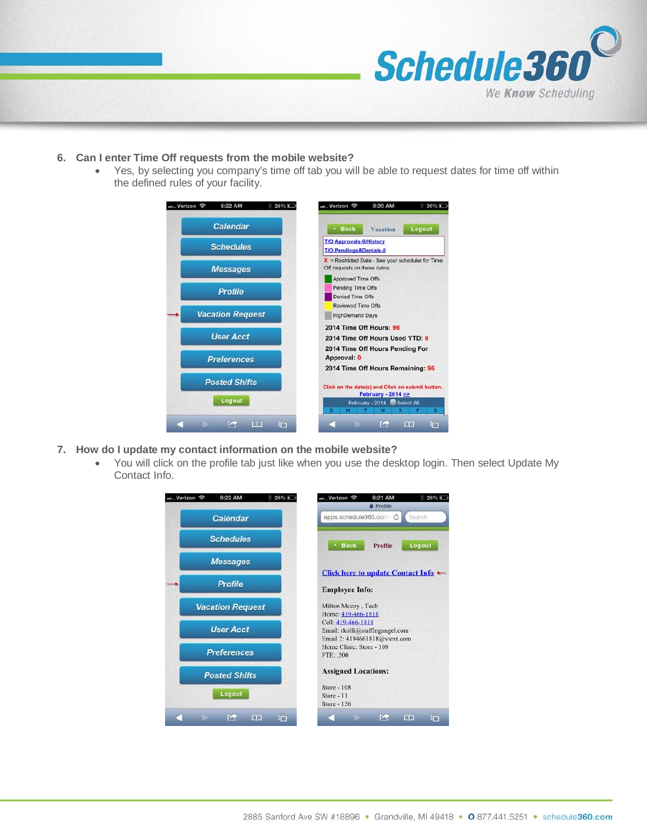

### **6. Can I enter Time Off requests from the mobile website?**

• Yes, by selecting you company's time off tab you will be able to request dates for time off within the defined rules of your facility.



- **7. How do I update my contact information on the mobile website?**
	- You will click on the profile tab just like when you use the desktop login. Then select Update My Contact Info.